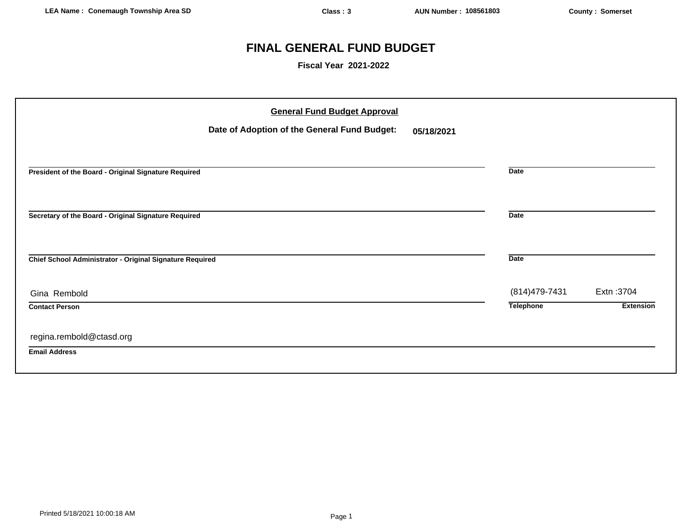# **FINAL GENERAL FUND BUDGET**

**Fiscal Year 2021-2022**

| <b>General Fund Budget Approval</b><br>Date of Adoption of the General Fund Budget:<br>05/18/2021 |                                    |                                |
|---------------------------------------------------------------------------------------------------|------------------------------------|--------------------------------|
| President of the Board - Original Signature Required                                              | <b>Date</b>                        |                                |
| Secretary of the Board - Original Signature Required                                              | <b>Date</b>                        |                                |
| Chief School Administrator - Original Signature Required                                          | <b>Date</b>                        |                                |
| Gina Rembold<br><b>Contact Person</b>                                                             | (814) 479-7431<br><b>Telephone</b> | Extn: 3704<br><b>Extension</b> |
| regina.rembold@ctasd.org<br><b>Email Address</b>                                                  |                                    |                                |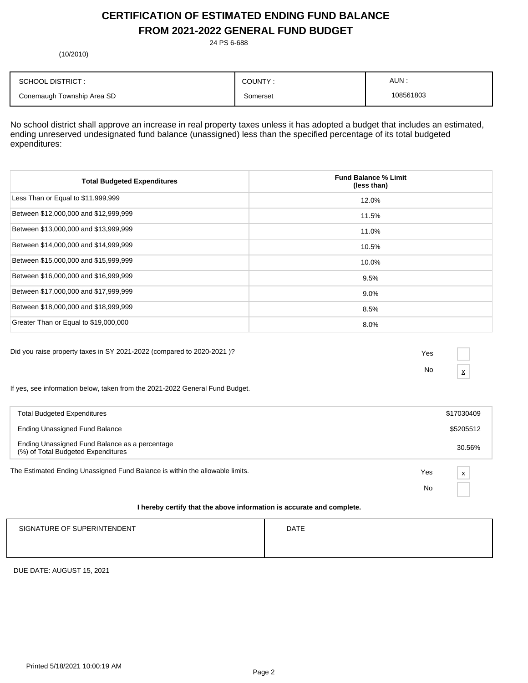# **CERTIFICATION OF ESTIMATED ENDING FUND BALANCE FROM 2021-2022 GENERAL FUND BUDGET**

24 PS 6-688

(10/2010)

| <b>SCHOOL DISTRICT:</b>    | COUNTY:  | AUN.      |
|----------------------------|----------|-----------|
| Conemaugh Township Area SD | Somerset | 108561803 |

No school district shall approve an increase in real property taxes unless it has adopted a budget that includes an estimated, ending unreserved undesignated fund balance (unassigned) less than the specified percentage of its total budgeted expenditures:

| <b>Total Budgeted Expenditures</b>    | <b>Fund Balance % Limit</b><br>(less than) |
|---------------------------------------|--------------------------------------------|
| Less Than or Equal to \$11,999,999    | 12.0%                                      |
| Between \$12,000,000 and \$12,999,999 | 11.5%                                      |
| Between \$13,000,000 and \$13,999,999 | 11.0%                                      |
| Between \$14,000,000 and \$14,999,999 | 10.5%                                      |
| Between \$15,000,000 and \$15,999,999 | 10.0%                                      |
| Between \$16,000,000 and \$16,999,999 | 9.5%                                       |
| Between \$17,000,000 and \$17,999,999 | $9.0\%$                                    |
| Between \$18,000,000 and \$18,999,999 | 8.5%                                       |
| Greater Than or Equal to \$19,000,000 | 8.0%                                       |

Did you raise property taxes in SY 2021-2022 (compared to 2020-2021 )? Yes

No  $\frac{\mathbf{x}}{}$ 

If yes, see information below, taken from the 2021-2022 General Fund Budget.

| <b>Total Budgeted Expenditures</b>                                                   |     | \$17030409              |
|--------------------------------------------------------------------------------------|-----|-------------------------|
| Ending Unassigned Fund Balance                                                       |     | \$5205512               |
| Ending Unassigned Fund Balance as a percentage<br>(%) of Total Budgeted Expenditures |     | 30.56%                  |
| The Estimated Ending Unassigned Fund Balance is within the allowable limits.         | Yes | $\overline{\mathbf{x}}$ |
|                                                                                      | No  |                         |
|                                                                                      |     |                         |

# **I hereby certify that the above information is accurate and complete.**

| SIGNATURE OF SUPERINTENDENT | <b>DATE</b> |
|-----------------------------|-------------|
|                             |             |

DUE DATE: AUGUST 15, 2021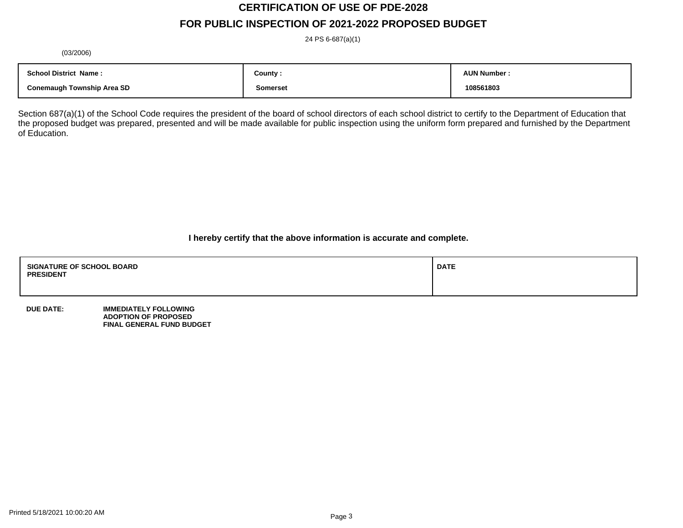# **CERTIFICATION OF USE OF PDE-2028 FOR PUBLIC INSPECTION OF 2021-2022 PROPOSED BUDGET**

24 PS 6-687(a)(1)

(03/2006)

| <b>School District Name:</b>      | County : | <b>AUN Number:</b> |
|-----------------------------------|----------|--------------------|
| <b>Conemaugh Township Area SD</b> | Somerset | 108561803          |

Section 687(a)(1) of the School Code requires the president of the board of school directors of each school district to certify to the Department of Education that the proposed budget was prepared, presented and will be made available for public inspection using the uniform form prepared and furnished by the Department of Education.

**I hereby certify that the above information is accurate and complete.**

| <b>SIGNATURE OF SCHOOL BOARD</b><br><b>PRESIDENT</b> | <b>DATE</b> |
|------------------------------------------------------|-------------|
|                                                      |             |

**DUE DATE: IMMEDIATELY FOLLOWING ADOPTION OF PROPOSED FINAL GENERAL FUND BUDGET**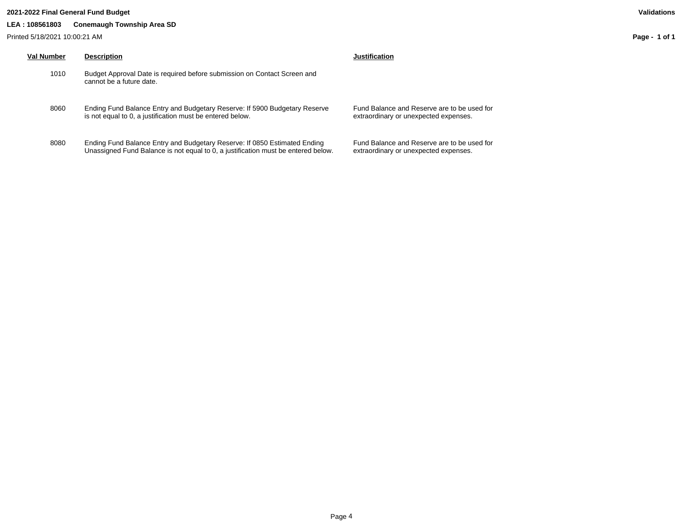## **2021-2022 Final General Fund Budget Validations**

# **LEA : 108561803 Conemaugh Township Area SD**

Printed 5/18/2021 10:00:21 AM

| Val Number | <b>Description</b>                                                                                                                      | Justification                        |
|------------|-----------------------------------------------------------------------------------------------------------------------------------------|--------------------------------------|
| 1010       | Budget Approval Date is required before submission on Contact Screen and<br>cannot be a future date.                                    |                                      |
| 8060       | Ending Fund Balance Entry and Budgetary Reserve: If 5900 Budgetary Reserve<br>is not equal to 0, a justification must be entered below. | <b>Fund Balance</b><br>extraordinary |
| 8080       | Ending Fund Balance Entry and Budgetary Reserve: If 0850 Estimated Ending                                                               | <b>Fund Balance</b>                  |

Unassigned Fund Balance is not equal to 0, a justification must be entered below.

ance and Reserve are to be used for nary or unexpected expenses.

Fund Balance and Reserve are to be used for extraordinary or unexpected expenses.

**Page - 1 of 1**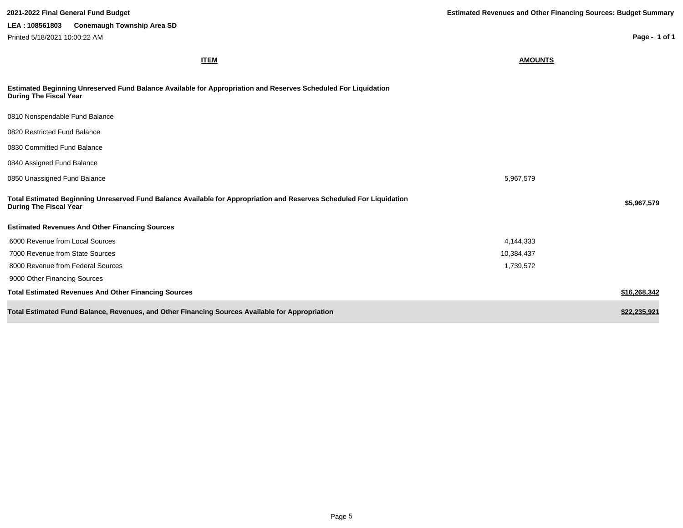**ITEM AMOUNTS Estimated Beginning Unreserved Fund Balance Available for Appropriation and Reserves Scheduled For Liquidation During The Fiscal Year** 0810 Nonspendable Fund Balance 0820 Restricted Fund Balance 0830 Committed Fund Balance 0840 Assigned Fund Balance 0850 Unassigned Fund Balance 5,967,579 **Total Estimated Beginning Unreserved Fund Balance Available for Appropriation and Reserves Scheduled For Liquidation During The Fiscal Year \$5,967,579 Estimated Revenues And Other Financing Sources** 6000 Revenue from Local Sources 4,144,333 7000 Revenue from State Sources 10,384,437 8000 Revenue from Federal Sources 1,739,572 9000 Other Financing Sources **Total Estimated Revenues And Other Financing Sources \$16,268,342 Total Estimated Fund Balance, Revenues, and Other Financing Sources Available for Appropriation \$22,000 and \$22,235,921 \$22,235,921 2021-2022 Final General Fund Budget Estimated Revenues and Other Financing Sources: Budget Summary Page - 1 of 1 LEA : 108561803 Conemaugh Township Area SD** Printed 5/18/2021 10:00:22 AM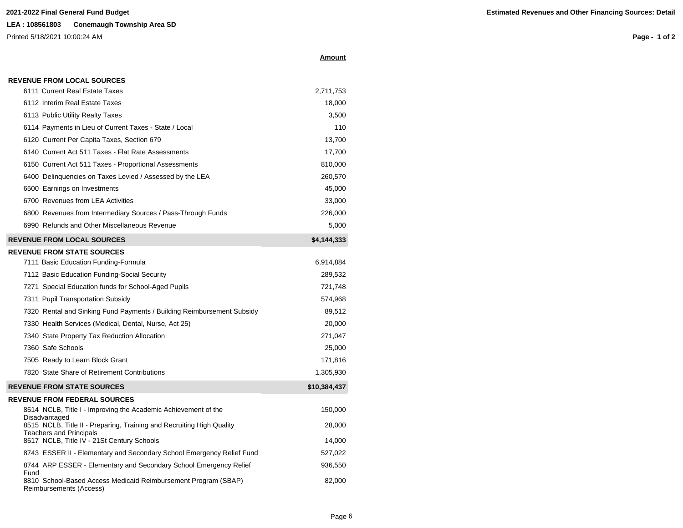# **LEA : 108561803 Conemaugh Township Area SD**

Printed 5/18/2021 10:00:24 AM

**Page - 1 of 2**

| Amount |  |
|--------|--|
|        |  |

|  |  | <b>REVENUE FROM LOCAL SOURCES</b> |
|--|--|-----------------------------------|
|  |  |                                   |

| 6111 Current Real Estate Taxes                                                                          | 2,711,753    |
|---------------------------------------------------------------------------------------------------------|--------------|
| 6112 Interim Real Estate Taxes                                                                          | 18,000       |
| 6113 Public Utility Realty Taxes                                                                        | 3,500        |
| 6114 Payments in Lieu of Current Taxes - State / Local                                                  | 110          |
| 6120 Current Per Capita Taxes, Section 679                                                              | 13,700       |
| 6140 Current Act 511 Taxes - Flat Rate Assessments                                                      | 17,700       |
| 6150 Current Act 511 Taxes - Proportional Assessments                                                   | 810,000      |
| 6400 Delinquencies on Taxes Levied / Assessed by the LEA                                                | 260,570      |
| 6500 Earnings on Investments                                                                            | 45,000       |
| 6700 Revenues from LEA Activities                                                                       | 33,000       |
| 6800 Revenues from Intermediary Sources / Pass-Through Funds                                            | 226,000      |
| 6990 Refunds and Other Miscellaneous Revenue                                                            | 5,000        |
| <b>REVENUE FROM LOCAL SOURCES</b>                                                                       | \$4,144,333  |
| <b>REVENUE FROM STATE SOURCES</b>                                                                       |              |
| 7111 Basic Education Funding-Formula                                                                    | 6,914,884    |
| 7112 Basic Education Funding-Social Security                                                            | 289,532      |
| 7271 Special Education funds for School-Aged Pupils                                                     | 721,748      |
| 7311 Pupil Transportation Subsidy                                                                       | 574,968      |
| 7320 Rental and Sinking Fund Payments / Building Reimbursement Subsidy                                  | 89,512       |
| 7330 Health Services (Medical, Dental, Nurse, Act 25)                                                   | 20,000       |
| 7340 State Property Tax Reduction Allocation                                                            | 271,047      |
| 7360 Safe Schools                                                                                       | 25,000       |
| 7505 Ready to Learn Block Grant                                                                         | 171,816      |
| 7820 State Share of Retirement Contributions                                                            | 1,305,930    |
| <b>REVENUE FROM STATE SOURCES</b>                                                                       | \$10,384,437 |
| <b>REVENUE FROM FEDERAL SOURCES</b>                                                                     |              |
| 8514 NCLB, Title I - Improving the Academic Achievement of the<br>Disadvantaged                         | 150,000      |
| 8515 NCLB, Title II - Preparing, Training and Recruiting High Quality<br><b>Teachers and Principals</b> | 28,000       |
| 8517 NCLB, Title IV - 21St Century Schools                                                              | 14,000       |
| 8743 ESSER II - Elementary and Secondary School Emergency Relief Fund                                   | 527,022      |
| 8744 ARP ESSER - Elementary and Secondary School Emergency Relief<br>Fund                               | 936,550      |
| 8810 School-Based Access Medicaid Reimbursement Program (SBAP)<br>Reimbursements (Access)               | 82,000       |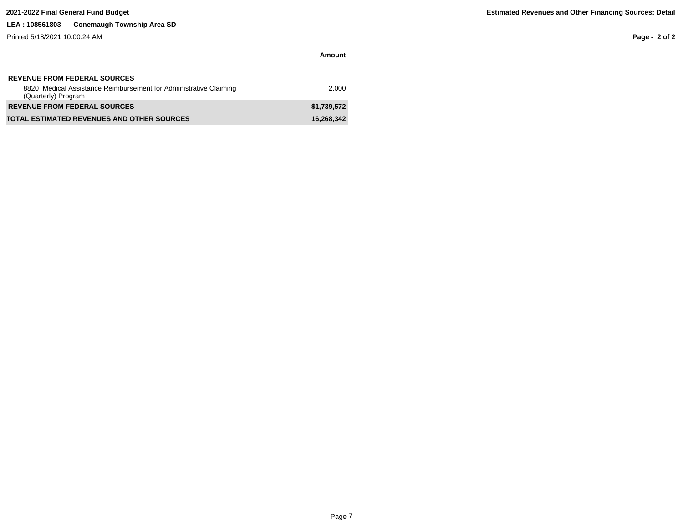# **LEA : 108561803 Conemaugh Township Area SD**

Printed 5/18/2021 10:00:24 AM

**Page - 2 of 2**

| <b>REVENUE FROM FEDERAL SOURCES</b>                                                      |             |
|------------------------------------------------------------------------------------------|-------------|
| 8820 Medical Assistance Reimbursement for Administrative Claiming<br>(Quarterly) Program | 2.000       |
| <b>REVENUE FROM FEDERAL SOURCES</b>                                                      | \$1.739.572 |
| <b>TOTAL ESTIMATED REVENUES AND OTHER SOURCES</b>                                        | 16,268,342  |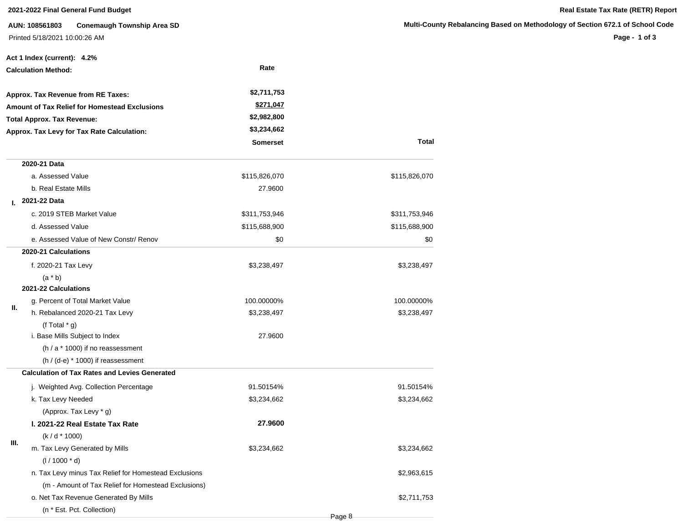# **2021-2022 Final General Fund Budget Real Estate Tax Rate (RETR) Report**

**AUN: 108561803 Conemaugh Township Area SD** Printed 5/18/2021 10:00:26 AM

# **Multi-County Rebalancing Based on Methodology of Section 672.1 of School Code**

**Page - 1 of 3**

|      | Act 1 Index (current): 4.2%                           |                 |               |
|------|-------------------------------------------------------|-----------------|---------------|
|      | <b>Calculation Method:</b>                            | Rate            |               |
|      | Approx. Tax Revenue from RE Taxes:                    | \$2,711,753     |               |
|      | <b>Amount of Tax Relief for Homestead Exclusions</b>  | \$271,047       |               |
|      | <b>Total Approx. Tax Revenue:</b>                     | \$2,982,800     |               |
|      | Approx. Tax Levy for Tax Rate Calculation:            | \$3,234,662     |               |
|      |                                                       | <b>Somerset</b> | Total         |
|      | 2020-21 Data                                          |                 |               |
|      | a. Assessed Value                                     | \$115,826,070   | \$115,826,070 |
|      | b. Real Estate Mills                                  | 27.9600         |               |
| L.   | 2021-22 Data                                          |                 |               |
|      | c. 2019 STEB Market Value                             | \$311,753,946   | \$311,753,946 |
|      | d. Assessed Value                                     | \$115,688,900   | \$115,688,900 |
|      | e. Assessed Value of New Constr/ Renov                | \$0             | \$0           |
|      | 2020-21 Calculations                                  |                 |               |
|      | f. 2020-21 Tax Levy                                   | \$3,238,497     | \$3,238,497   |
|      | $(a * b)$                                             |                 |               |
|      | 2021-22 Calculations                                  |                 |               |
| Ш.   | g. Percent of Total Market Value                      | 100.00000%      | 100.00000%    |
|      | h. Rebalanced 2020-21 Tax Levy                        | \$3,238,497     | \$3,238,497   |
|      | (f Total $*$ g)                                       |                 |               |
|      | i. Base Mills Subject to Index                        | 27.9600         |               |
|      | (h / a * 1000) if no reassessment                     |                 |               |
|      | $(h / (d-e) * 1000)$ if reassessment                  |                 |               |
|      | <b>Calculation of Tax Rates and Levies Generated</b>  |                 |               |
|      | j. Weighted Avg. Collection Percentage                | 91.50154%       | 91.50154%     |
|      | k. Tax Levy Needed                                    | \$3,234,662     | \$3,234,662   |
|      | (Approx. Tax Levy * g)                                |                 |               |
|      | I. 2021-22 Real Estate Tax Rate                       | 27.9600         |               |
| III. | $(k/d * 1000)$                                        |                 |               |
|      | m. Tax Levy Generated by Mills                        | \$3,234,662     | \$3,234,662   |
|      | $(1/1000 * d)$                                        |                 |               |
|      | n. Tax Levy minus Tax Relief for Homestead Exclusions |                 | \$2,963,615   |
|      | (m - Amount of Tax Relief for Homestead Exclusions)   |                 |               |
|      | o. Net Tax Revenue Generated By Mills                 |                 | \$2,711,753   |
|      | (n * Est. Pct. Collection)                            |                 |               |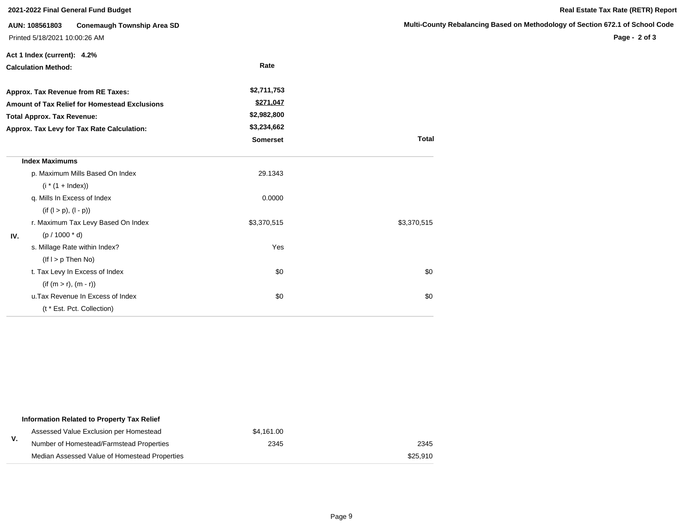**Act 1 Index (current): 4.2%**

**AUN: 108561803 Conemaugh Township Area SD** Printed 5/18/2021 10:00:26 AM

## **Multi-County Rebalancing Based on Methodology of Section 672.1 of School Code**

**Page - 2 of 3**

| <b>Calculation Method:</b> |                                               | Rate            |              |
|----------------------------|-----------------------------------------------|-----------------|--------------|
|                            | Approx. Tax Revenue from RE Taxes:            | \$2,711,753     |              |
|                            | Amount of Tax Relief for Homestead Exclusions | \$271,047       |              |
|                            | <b>Total Approx. Tax Revenue:</b>             | \$2,982,800     |              |
|                            | Approx. Tax Levy for Tax Rate Calculation:    | \$3,234,662     |              |
|                            |                                               | <b>Somerset</b> | <b>Total</b> |
|                            | <b>Index Maximums</b>                         |                 |              |
|                            | p. Maximum Mills Based On Index               | 29.1343         |              |
|                            | $(i * (1 + Index))$                           |                 |              |
|                            | q. Mills In Excess of Index                   | 0.0000          |              |
|                            | $(if (l > p), (l - p))$                       |                 |              |
|                            | r. Maximum Tax Levy Based On Index            | \$3,370,515     | \$3,370,515  |
| IV.                        | $(p / 1000 * d)$                              |                 |              |
|                            | s. Millage Rate within Index?                 | Yes             |              |
|                            | $($ lf $I > p$ Then No)                       |                 |              |
|                            | t. Tax Levy In Excess of Index                | \$0             | \$0          |
|                            | $(if (m > r), (m - r))$                       |                 |              |
|                            | u. Tax Revenue In Excess of Index             | \$0             | \$0          |
|                            | (t * Est. Pct. Collection)                    |                 |              |

|    | Information Related to Property Tax Relief    |            |          |
|----|-----------------------------------------------|------------|----------|
|    | Assessed Value Exclusion per Homestead        | \$4.161.00 |          |
| ۷. | Number of Homestead/Farmstead Properties      | 2345       | 2345     |
|    | Median Assessed Value of Homestead Properties |            | \$25.910 |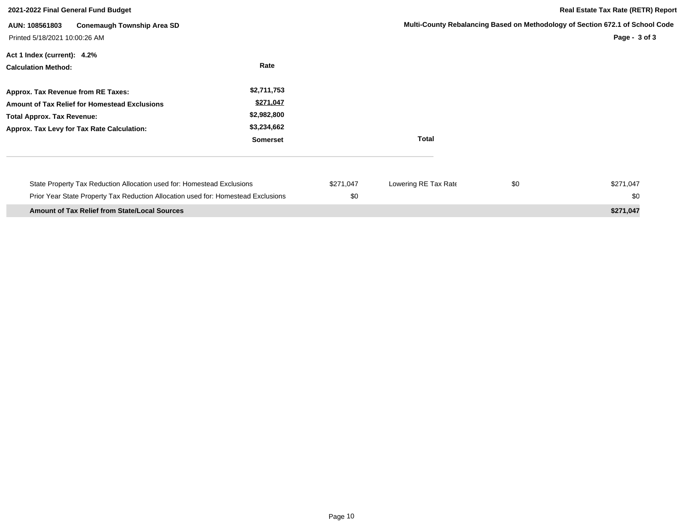| 2021-2022 Final General Fund Budget                                                                                                                                    |                                                                           |                  | <b>Real Estate Tax Rate (RETR) Report</b> |     |                                                                                                |
|------------------------------------------------------------------------------------------------------------------------------------------------------------------------|---------------------------------------------------------------------------|------------------|-------------------------------------------|-----|------------------------------------------------------------------------------------------------|
| <b>Conemaugh Township Area SD</b><br>AUN: 108561803<br>Printed 5/18/2021 10:00:26 AM                                                                                   |                                                                           |                  |                                           |     | Multi-County Rebalancing Based on Methodology of Section 672.1 of School Code<br>Page - 3 of 3 |
| Act 1 Index (current): 4.2%<br><b>Calculation Method:</b>                                                                                                              | Rate                                                                      |                  |                                           |     |                                                                                                |
| Approx. Tax Revenue from RE Taxes:<br>Amount of Tax Relief for Homestead Exclusions<br><b>Total Approx. Tax Revenue:</b><br>Approx. Tax Levy for Tax Rate Calculation: | \$2,711,753<br>\$271,047<br>\$2,982,800<br>\$3,234,662<br><b>Somerset</b> |                  | <b>Total</b>                              |     |                                                                                                |
| State Property Tax Reduction Allocation used for: Homestead Exclusions<br>Prior Year State Property Tax Reduction Allocation used for: Homestead Exclusions            |                                                                           | \$271,047<br>\$0 | Lowering RE Tax Rate                      | \$0 | \$271,047<br>\$0                                                                               |
| <b>Amount of Tax Relief from State/Local Sources</b>                                                                                                                   |                                                                           |                  |                                           |     | \$271,047                                                                                      |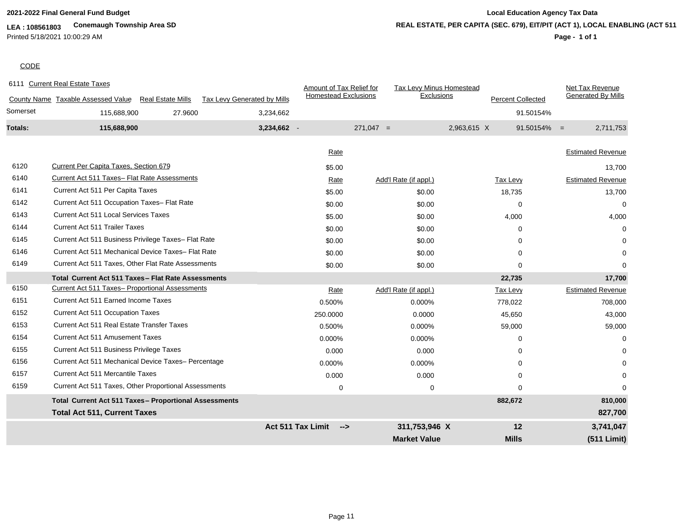# **LEA : 108561803 Conemaugh Township Area SD** Printed 5/18/2021 10:00:29 AM

# **2021-2022 Final General Fund Budget Local Education Agency Tax Data REAL ESTATE, PER CAPITA (SEC. 679), EIT/PIT (ACT 1), LOCAL ENABLING (ACT 511)**

# **Page - 1 of 1**

# **CODE**

|                | 6111 Current Real Estate Taxes                                 |                                    | Amount of Tax Relief for    | Tax Levy Minus Homestead |                          | Net Tax Revenue             |
|----------------|----------------------------------------------------------------|------------------------------------|-----------------------------|--------------------------|--------------------------|-----------------------------|
|                | County Name Taxable Assessed Value<br><b>Real Estate Mills</b> | <b>Tax Levy Generated by Mills</b> | <b>Homestead Exclusions</b> | Exclusions               | <b>Percent Collected</b> | <b>Generated By Mills</b>   |
| Somerset       | 27.9600<br>115,688,900                                         | 3,234,662                          |                             |                          |                          | 91.50154%                   |
| <b>Totals:</b> | 115,688,900                                                    | 3,234,662 -                        |                             | $271,047 =$              | 2,963,615 X              | $91.50154\% =$<br>2,711,753 |
|                |                                                                |                                    | Rate                        |                          |                          | <b>Estimated Revenue</b>    |
| 6120           | <b>Current Per Capita Taxes, Section 679</b>                   |                                    | \$5.00                      |                          |                          | 13,700                      |
| 6140           | Current Act 511 Taxes- Flat Rate Assessments                   |                                    | Rate                        | Add'l Rate (if appl.)    | <b>Tax Levy</b>          | <b>Estimated Revenue</b>    |
| 6141           | Current Act 511 Per Capita Taxes                               |                                    | \$5.00                      | \$0.00                   | 18,735                   | 13,700                      |
| 6142           | Current Act 511 Occupation Taxes- Flat Rate                    |                                    | \$0.00                      | \$0.00                   | $\Omega$                 | $\Omega$                    |
| 6143           | <b>Current Act 511 Local Services Taxes</b>                    |                                    | \$5.00                      | \$0.00                   | 4,000                    | 4,000                       |
| 6144           | <b>Current Act 511 Trailer Taxes</b>                           |                                    | \$0.00                      | \$0.00                   | $\Omega$                 | $\Omega$                    |
| 6145           | Current Act 511 Business Privilege Taxes- Flat Rate            |                                    | \$0.00                      | \$0.00                   | 0                        |                             |
| 6146           | Current Act 511 Mechanical Device Taxes- Flat Rate             |                                    | \$0.00                      | \$0.00                   | 0                        | $\Omega$                    |
| 6149           | Current Act 511 Taxes, Other Flat Rate Assessments             |                                    | \$0.00                      | \$0.00                   | $\Omega$                 | $\Omega$                    |
|                | Total Current Act 511 Taxes - Flat Rate Assessments            |                                    |                             |                          | 22,735                   | 17,700                      |
| 6150           | Current Act 511 Taxes- Proportional Assessments                |                                    | Rate                        | Add'l Rate (if appl.)    | <b>Tax Levy</b>          | <b>Estimated Revenue</b>    |
| 6151           | <b>Current Act 511 Earned Income Taxes</b>                     |                                    | 0.500%                      | 0.000%                   | 778,022                  | 708,000                     |
| 6152           | Current Act 511 Occupation Taxes                               |                                    | 250.0000                    | 0.0000                   | 45,650                   | 43,000                      |
| 6153           | Current Act 511 Real Estate Transfer Taxes                     |                                    | 0.500%                      | 0.000%                   | 59,000                   | 59,000                      |
| 6154           | <b>Current Act 511 Amusement Taxes</b>                         |                                    | 0.000%                      | 0.000%                   | 0                        | $\Omega$                    |
| 6155           | Current Act 511 Business Privilege Taxes                       |                                    | 0.000                       | 0.000                    | 0                        |                             |
| 6156           | Current Act 511 Mechanical Device Taxes- Percentage            |                                    | 0.000%                      | 0.000%                   | $\Omega$                 |                             |
| 6157           | <b>Current Act 511 Mercantile Taxes</b>                        |                                    | 0.000                       | 0.000                    | 0                        |                             |
| 6159           | Current Act 511 Taxes, Other Proportional Assessments          |                                    | 0                           | 0                        | $\Omega$                 | $\Omega$                    |
|                | Total Current Act 511 Taxes- Proportional Assessments          |                                    |                             |                          | 882,672                  | 810,000                     |
|                | <b>Total Act 511, Current Taxes</b>                            |                                    |                             |                          |                          | 827,700                     |
|                |                                                                | <b>Act 511 Tax Limit</b>           | $\rightarrow$               | 311,753,946 X            | 12                       | 3,741,047                   |
|                |                                                                |                                    |                             | <b>Market Value</b>      | <b>Mills</b>             | (511 Limit)                 |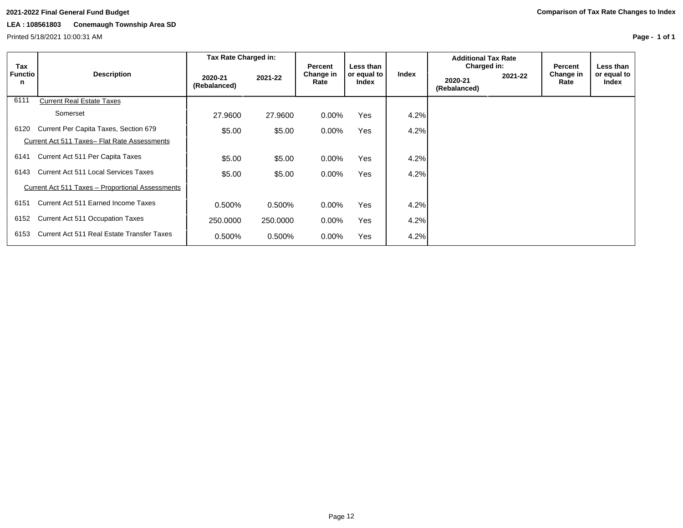Printed 5/18/2021 10:00:31 AM

**Page - 1 of 1**

|                            |                                                  | Tax Rate Charged in:    |          |                              |                                          |       | <b>Additional Tax Rate</b>             |         |                              |                                   |
|----------------------------|--------------------------------------------------|-------------------------|----------|------------------------------|------------------------------------------|-------|----------------------------------------|---------|------------------------------|-----------------------------------|
| Tax<br><b>Functio</b><br>n | <b>Description</b>                               | 2020-21<br>(Rebalanced) | 2021-22  | Percent<br>Change in<br>Rate | Less than<br>or equal to<br><b>Index</b> | Index | Charged in:<br>2020-21<br>(Rebalanced) | 2021-22 | Percent<br>Change in<br>Rate | Less than<br>or equal to<br>Index |
| 6111                       | <b>Current Real Estate Taxes</b>                 |                         |          |                              |                                          |       |                                        |         |                              |                                   |
|                            | Somerset                                         | 27,9600                 | 27.9600  | $0.00\%$                     | Yes                                      | 4.2%  |                                        |         |                              |                                   |
| 6120                       | Current Per Capita Taxes, Section 679            | \$5.00                  | \$5.00   | $0.00\%$                     | Yes                                      | 4.2%  |                                        |         |                              |                                   |
|                            | Current Act 511 Taxes- Flat Rate Assessments     |                         |          |                              |                                          |       |                                        |         |                              |                                   |
| 6141                       | Current Act 511 Per Capita Taxes                 | \$5.00                  | \$5.00   | $0.00\%$                     | Yes                                      | 4.2%  |                                        |         |                              |                                   |
| 6143                       | Current Act 511 Local Services Taxes             | \$5.00                  | \$5.00   | $0.00\%$                     | Yes                                      | 4.2%  |                                        |         |                              |                                   |
|                            | Current Act 511 Taxes - Proportional Assessments |                         |          |                              |                                          |       |                                        |         |                              |                                   |
| 6151                       | Current Act 511 Earned Income Taxes              | 0.500%                  | 0.500%   | $0.00\%$                     | Yes                                      | 4.2%  |                                        |         |                              |                                   |
| 6152                       | <b>Current Act 511 Occupation Taxes</b>          | 250,0000                | 250,0000 | $0.00\%$                     | Yes                                      | 4.2%  |                                        |         |                              |                                   |
| 6153                       | Current Act 511 Real Estate Transfer Taxes       | 0.500%                  | 0.500%   | $0.00\%$                     | Yes                                      | 4.2%  |                                        |         |                              |                                   |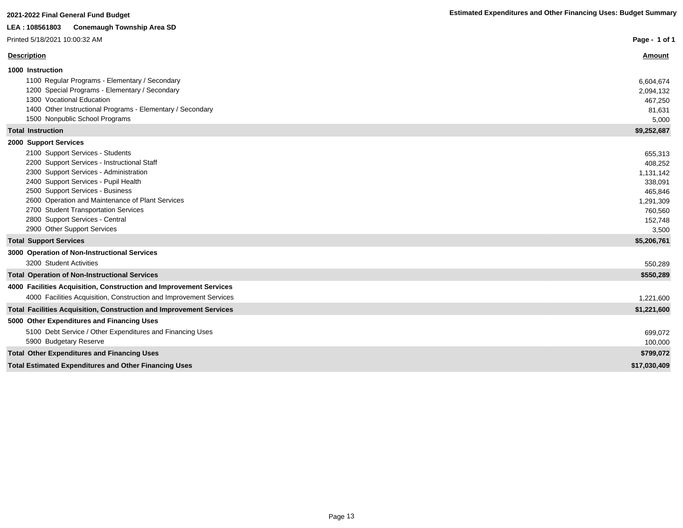| LEA : 108561803<br><b>Conemaugh Township Area SD</b>                                                                                                                                                                                                                                                                                                                                         |                                                                                                   |
|----------------------------------------------------------------------------------------------------------------------------------------------------------------------------------------------------------------------------------------------------------------------------------------------------------------------------------------------------------------------------------------------|---------------------------------------------------------------------------------------------------|
| Printed 5/18/2021 10:00:32 AM                                                                                                                                                                                                                                                                                                                                                                | Page - 1 of 1                                                                                     |
| <b>Description</b>                                                                                                                                                                                                                                                                                                                                                                           | <b>Amount</b>                                                                                     |
| 1000 Instruction<br>1100 Regular Programs - Elementary / Secondary<br>1200 Special Programs - Elementary / Secondary                                                                                                                                                                                                                                                                         | 6,604,674<br>2,094,132                                                                            |
| 1300 Vocational Education<br>1400 Other Instructional Programs - Elementary / Secondary<br>1500 Nonpublic School Programs                                                                                                                                                                                                                                                                    | 467,250<br>81,631<br>5,000                                                                        |
| <b>Total Instruction</b>                                                                                                                                                                                                                                                                                                                                                                     | \$9,252,687                                                                                       |
| 2000 Support Services<br>2100 Support Services - Students<br>2200 Support Services - Instructional Staff<br>2300 Support Services - Administration<br>2400 Support Services - Pupil Health<br>2500 Support Services - Business<br>2600 Operation and Maintenance of Plant Services<br>2700 Student Transportation Services<br>2800 Support Services - Central<br>2900 Other Support Services | 655,313<br>408,252<br>1,131,142<br>338,091<br>465,846<br>1,291,309<br>760,560<br>152,748<br>3,500 |
| <b>Total Support Services</b>                                                                                                                                                                                                                                                                                                                                                                | \$5,206,761                                                                                       |
| 3000 Operation of Non-Instructional Services<br>3200 Student Activities<br><b>Total Operation of Non-Instructional Services</b>                                                                                                                                                                                                                                                              | 550,289<br>\$550,289                                                                              |
| 4000 Facilities Acquisition, Construction and Improvement Services<br>4000 Facilities Acquisition, Construction and Improvement Services                                                                                                                                                                                                                                                     | 1,221,600                                                                                         |
| <b>Total Facilities Acquisition, Construction and Improvement Services</b>                                                                                                                                                                                                                                                                                                                   | \$1,221,600                                                                                       |
| 5000 Other Expenditures and Financing Uses<br>5100 Debt Service / Other Expenditures and Financing Uses<br>5900 Budgetary Reserve                                                                                                                                                                                                                                                            | 699,072<br>100,000                                                                                |
| <b>Total Other Expenditures and Financing Uses</b>                                                                                                                                                                                                                                                                                                                                           | \$799,072                                                                                         |
| <b>Total Estimated Expenditures and Other Financing Uses</b>                                                                                                                                                                                                                                                                                                                                 | \$17,030,409                                                                                      |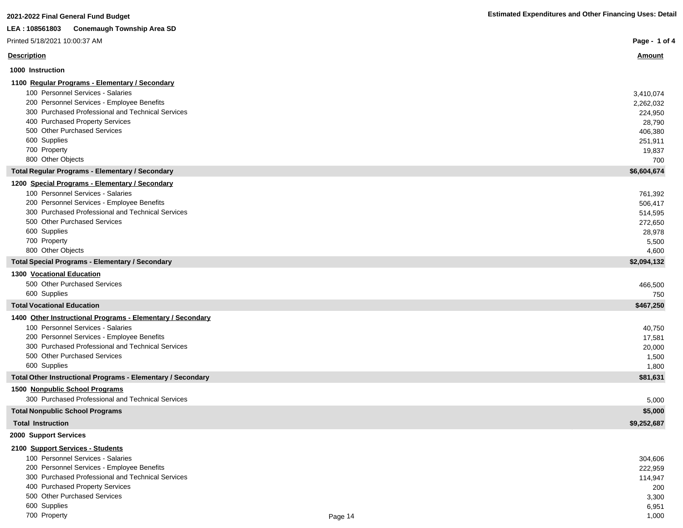| 2021-2022 Final General Fund Budget |  |  |
|-------------------------------------|--|--|
|                                     |  |  |

I

ľ

 $\begin{array}{c} \hline \end{array}$ 

I

г

L

| LEA : 108561803<br><b>Conemaugh Township Area SD</b>        |                |
|-------------------------------------------------------------|----------------|
| Printed 5/18/2021 10:00:37 AM                               | Page - 1 of 4  |
| <b>Description</b>                                          | <b>Amount</b>  |
| 1000 Instruction                                            |                |
| 1100 Regular Programs - Elementary / Secondary              |                |
| 100 Personnel Services - Salaries                           | 3,410,074      |
| 200 Personnel Services - Employee Benefits                  | 2,262,032      |
| 300 Purchased Professional and Technical Services           | 224,950        |
| 400 Purchased Property Services                             | 28,790         |
| 500 Other Purchased Services                                | 406,380        |
| 600 Supplies                                                | 251,911        |
| 700 Property                                                | 19,837         |
| 800 Other Objects                                           | 700            |
| <b>Total Regular Programs - Elementary / Secondary</b>      | \$6,604,674    |
| 1200 Special Programs - Elementary / Secondary              |                |
| 100 Personnel Services - Salaries                           | 761,392        |
| 200 Personnel Services - Employee Benefits                  | 506,417        |
| 300 Purchased Professional and Technical Services           | 514,595        |
| 500 Other Purchased Services<br>600 Supplies                | 272,650        |
| 700 Property                                                | 28,978         |
| 800 Other Objects                                           | 5,500<br>4,600 |
| <b>Total Special Programs - Elementary / Secondary</b>      | \$2,094,132    |
| <b>1300 Vocational Education</b>                            |                |
| 500 Other Purchased Services                                | 466,500        |
| 600 Supplies                                                | 750            |
| <b>Total Vocational Education</b>                           | \$467,250      |
| 1400 Other Instructional Programs - Elementary / Secondary  |                |
| 100 Personnel Services - Salaries                           | 40,750         |
| 200 Personnel Services - Employee Benefits                  | 17,581         |
| 300 Purchased Professional and Technical Services           | 20,000         |
| 500 Other Purchased Services                                | 1,500          |
| 600 Supplies                                                | 1,800          |
| Total Other Instructional Programs - Elementary / Secondary | \$81,631       |
| 1500 Nonpublic School Programs                              |                |
| 300 Purchased Professional and Technical Services           | 5,000          |
| <b>Total Nonpublic School Programs</b>                      | \$5,000        |
| <b>Total Instruction</b>                                    | \$9,252,687    |
| 2000 Support Services                                       |                |
| 2100 Support Services - Students                            |                |
| 100 Personnel Services - Salaries                           | 304,606        |
| 200 Personnel Services - Employee Benefits                  | 222,959        |
| 300 Purchased Professional and Technical Services           | 114,947        |
| 400 Purchased Property Services                             | 200            |
| 500 Other Purchased Services                                | 3,300          |
| 600 Supplies                                                | 6,951          |

The Property and the set of the set of the Page 14 and the Page 14 and the Set of the Set of the Set of the Set of the Set of the Set of the Set of the Set of the Set of the Set of the Set of the Set of the Set of the Set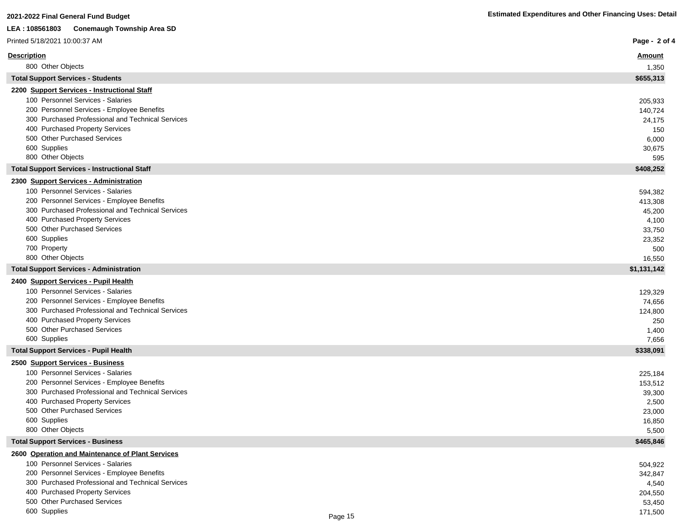| LEA: 108561803<br><b>Conemaugh Township Area SD</b>                                   |                    |
|---------------------------------------------------------------------------------------|--------------------|
| Printed 5/18/2021 10:00:37 AM                                                         | Page - 2 of 4      |
| <b>Description</b>                                                                    | <u>Amount</u>      |
| 800 Other Objects                                                                     | 1,350              |
| <b>Total Support Services - Students</b>                                              | \$655,313          |
| 2200 Support Services - Instructional Staff                                           |                    |
| 100 Personnel Services - Salaries                                                     | 205,933            |
| 200 Personnel Services - Employee Benefits                                            | 140,724            |
| 300 Purchased Professional and Technical Services                                     | 24,175             |
| 400 Purchased Property Services<br>500 Other Purchased Services                       | 150                |
| 600 Supplies                                                                          | 6,000              |
| 800 Other Objects                                                                     | 30,675<br>595      |
| <b>Total Support Services - Instructional Staff</b>                                   | \$408,252          |
| 2300 Support Services - Administration                                                |                    |
| 100 Personnel Services - Salaries                                                     | 594,382            |
| 200 Personnel Services - Employee Benefits                                            | 413,308            |
| 300 Purchased Professional and Technical Services                                     | 45,200             |
| 400 Purchased Property Services                                                       | 4,100              |
| 500 Other Purchased Services                                                          | 33,750             |
| 600 Supplies                                                                          | 23,352             |
| 700 Property<br>800 Other Objects                                                     | 500<br>16,550      |
| <b>Total Support Services - Administration</b>                                        | \$1,131,142        |
| 2400 Support Services - Pupil Health                                                  |                    |
| 100 Personnel Services - Salaries                                                     | 129,329            |
| 200 Personnel Services - Employee Benefits                                            | 74,656             |
| 300 Purchased Professional and Technical Services                                     | 124,800            |
| 400 Purchased Property Services                                                       | 250                |
| 500 Other Purchased Services                                                          | 1,400              |
| 600 Supplies                                                                          | 7,656              |
| <b>Total Support Services - Pupil Health</b>                                          | \$338,091          |
| 2500 Support Services - Business<br>100 Personnel Services - Salaries                 |                    |
| 200 Personnel Services - Employee Benefits                                            | 225,184<br>153,512 |
| 300 Purchased Professional and Technical Services                                     | 39,300             |
| 400 Purchased Property Services                                                       | 2,500              |
| 500 Other Purchased Services                                                          | 23,000             |
| 600 Supplies                                                                          | 16,850             |
| 800 Other Objects                                                                     | 5,500              |
| <b>Total Support Services - Business</b>                                              | \$465,846          |
| 2600 Operation and Maintenance of Plant Services<br>100 Personnel Services - Salaries |                    |
| 200 Personnel Services - Employee Benefits                                            | 504,922            |
| 300 Purchased Professional and Technical Services                                     | 342,847<br>4,540   |
| 400 Purchased Property Services                                                       | 204,550            |
| 500 Other Purchased Services                                                          | 53,450             |

 $\blacksquare$ 600 Supplies 171,500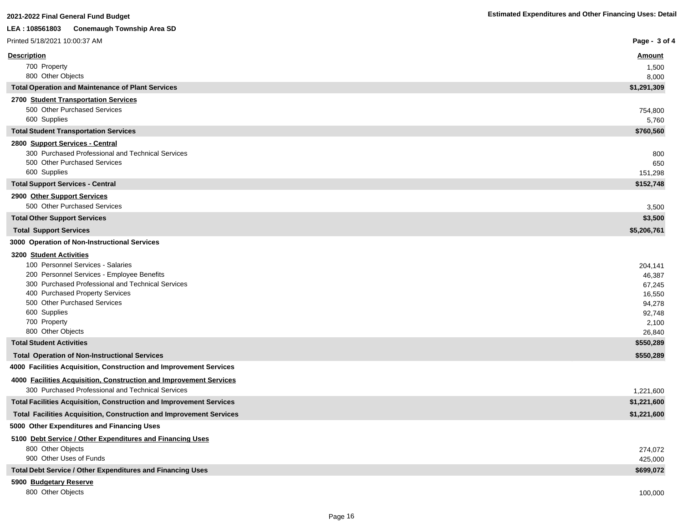| LEA : 108561803<br><b>Conemaugh Township Area SD</b>                       |                      |
|----------------------------------------------------------------------------|----------------------|
| Printed 5/18/2021 10:00:37 AM                                              | Page - 3 of 4        |
| <u>Description</u>                                                         | <u>Amount</u>        |
| 700 Property                                                               | 1,500                |
| 800 Other Objects                                                          | 8,000                |
| <b>Total Operation and Maintenance of Plant Services</b>                   | \$1,291,309          |
| 2700 Student Transportation Services                                       |                      |
| 500 Other Purchased Services                                               | 754,800              |
| 600 Supplies                                                               | 5,760                |
| <b>Total Student Transportation Services</b>                               | \$760,560            |
| 2800 Support Services - Central                                            |                      |
| 300 Purchased Professional and Technical Services                          | 800                  |
| 500 Other Purchased Services<br>600 Supplies                               | 650                  |
| <b>Total Support Services - Central</b>                                    | 151,298<br>\$152,748 |
| 2900 Other Support Services                                                |                      |
| 500 Other Purchased Services                                               | 3,500                |
| <b>Total Other Support Services</b>                                        | \$3,500              |
| <b>Total Support Services</b>                                              | \$5,206,761          |
| 3000 Operation of Non-Instructional Services                               |                      |
| 3200 Student Activities                                                    |                      |
| 100 Personnel Services - Salaries                                          | 204,141              |
| 200 Personnel Services - Employee Benefits                                 | 46,387               |
| 300 Purchased Professional and Technical Services                          | 67,245               |
| 400 Purchased Property Services                                            | 16,550               |
| 500 Other Purchased Services                                               | 94,278               |
| 600 Supplies                                                               | 92,748               |
| 700 Property                                                               | 2,100                |
| 800 Other Objects                                                          | 26,840               |
| <b>Total Student Activities</b>                                            | \$550,289            |
| <b>Total Operation of Non-Instructional Services</b>                       | \$550,289            |
| 4000 Facilities Acquisition, Construction and Improvement Services         |                      |
| 4000 Facilities Acquisition, Construction and Improvement Services         |                      |
| 300 Purchased Professional and Technical Services                          | 1,221,600            |
| <b>Total Facilities Acquisition, Construction and Improvement Services</b> | \$1,221,600          |
| <b>Total Facilities Acquisition, Construction and Improvement Services</b> | \$1,221,600          |
| 5000 Other Expenditures and Financing Uses                                 |                      |
| 5100 Debt Service / Other Expenditures and Financing Uses                  |                      |
| 800 Other Objects                                                          | 274,072              |
| 900 Other Uses of Funds                                                    | 425,000              |
| Total Debt Service / Other Expenditures and Financing Uses                 | \$699,072            |
| 5900 Budgetary Reserve                                                     |                      |
| 800 Other Objects                                                          | 100,000              |

**2021-2022 Final General Fund Budget Estimated Expenditures and Other Financing Uses: Detail**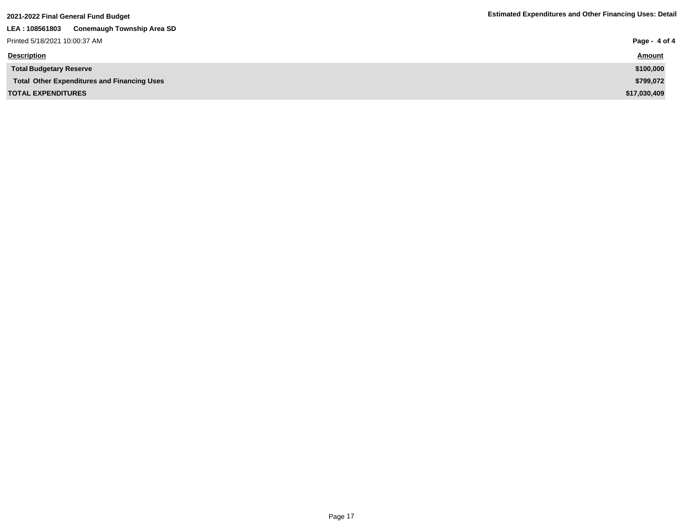| 2021-2022 Final General Fund Budget                 | <b>Estimated Expenditures and Other Financing Uses: Detail</b> |
|-----------------------------------------------------|----------------------------------------------------------------|
| <b>Conemaugh Township Area SD</b><br>LEA: 108561803 |                                                                |
| Printed 5/18/2021 10:00:37 AM                       | Page - 4 of 4                                                  |
| <b>Description</b>                                  | <b>Amount</b>                                                  |
| <b>Total Budgetary Reserve</b>                      | \$100,000                                                      |
| <b>Total Other Expenditures and Financing Uses</b>  | \$799,072                                                      |
| <b>TOTAL EXPENDITURES</b>                           | \$17,030,409                                                   |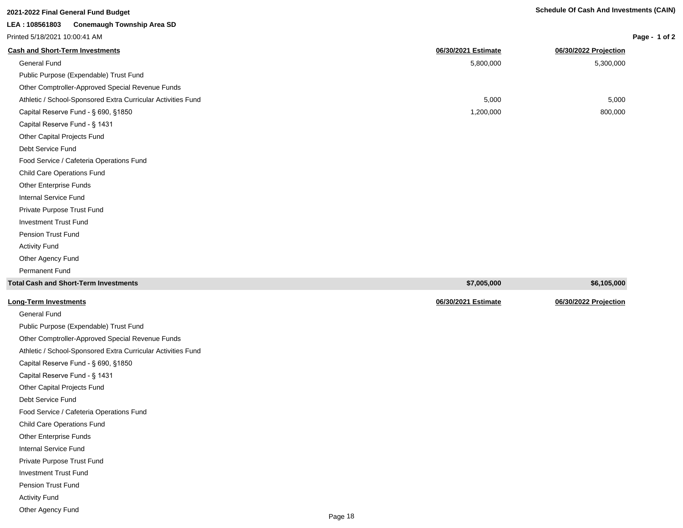# **2021-2022 Final General Fund Budget Schedule Of Cash And Investments (CAIN)**

# **LEA : 108561803 Conemaugh Township Area SD**

Printed 5/18/2021 10:00:41 AM

| Page - | 1 of 2 |  |
|--------|--------|--|
|--------|--------|--|

| <b>Cash and Short-Term Investments</b>                       | 06/30/2021 Estimate | 06/30/2022 Projection |
|--------------------------------------------------------------|---------------------|-----------------------|
| General Fund                                                 | 5,800,000           | 5,300,000             |
| Public Purpose (Expendable) Trust Fund                       |                     |                       |
| Other Comptroller-Approved Special Revenue Funds             |                     |                       |
| Athletic / School-Sponsored Extra Curricular Activities Fund | 5,000               | 5,000                 |
| Capital Reserve Fund - § 690, §1850                          | 1,200,000           | 800,000               |
| Capital Reserve Fund - § 1431                                |                     |                       |
| Other Capital Projects Fund                                  |                     |                       |
| Debt Service Fund                                            |                     |                       |
| Food Service / Cafeteria Operations Fund                     |                     |                       |
| <b>Child Care Operations Fund</b>                            |                     |                       |
| Other Enterprise Funds                                       |                     |                       |
| Internal Service Fund                                        |                     |                       |
| Private Purpose Trust Fund                                   |                     |                       |
| <b>Investment Trust Fund</b>                                 |                     |                       |
| Pension Trust Fund                                           |                     |                       |
| <b>Activity Fund</b>                                         |                     |                       |
| Other Agency Fund                                            |                     |                       |
| <b>Permanent Fund</b>                                        |                     |                       |
| <b>Total Cash and Short-Term Investments</b>                 | \$7,005,000         | \$6,105,000           |

| Long-Term Investments |
|-----------------------|

**Long-Term Investments 06/30/2021 Estimate 06/30/2022 Projection** General Fund Public Purpose (Expendable) Trust Fund Other Comptroller-Approved Special Revenue Funds Athletic / School-Sponsored Extra Curricular Activities Fund Capital Reserve Fund - § 690, §1850 Capital Reserve Fund - § 1431 Other Capital Projects Fund Debt Service Fund Food Service / Cafeteria Operations Fund Child Care Operations Fund Other Enterprise Funds Internal Service Fund Private Purpose Trust Fund Investment Trust Fund Pension Trust Fund Activity Fund Other Agency Fund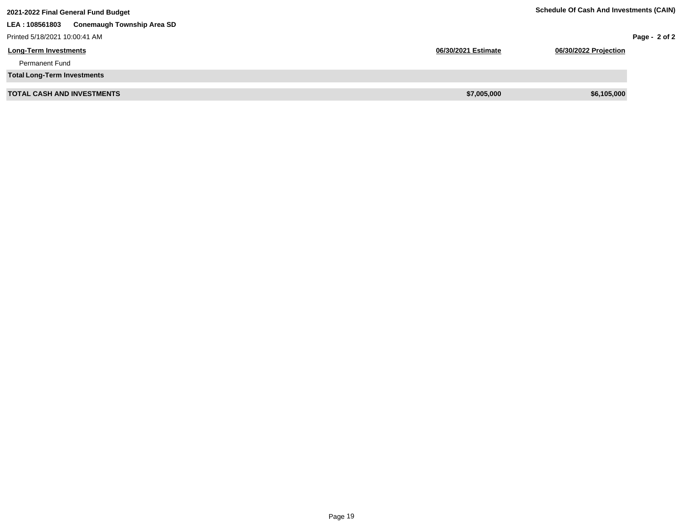| 2021-2022 Final General Fund Budget                 | <b>Schedule Of Cash And Investments (CAIN)</b> |                       |               |
|-----------------------------------------------------|------------------------------------------------|-----------------------|---------------|
| <b>Conemaugh Township Area SD</b><br>LEA: 108561803 |                                                |                       |               |
| Printed 5/18/2021 10:00:41 AM                       |                                                |                       | Page - 2 of 2 |
| <b>Long-Term Investments</b>                        | 06/30/2021 Estimate                            | 06/30/2022 Projection |               |
| <b>Permanent Fund</b>                               |                                                |                       |               |
| <b>Total Long-Term Investments</b>                  |                                                |                       |               |
| <b>TOTAL CASH AND INVESTMENTS</b>                   | \$7,005,000                                    | \$6,105,000           |               |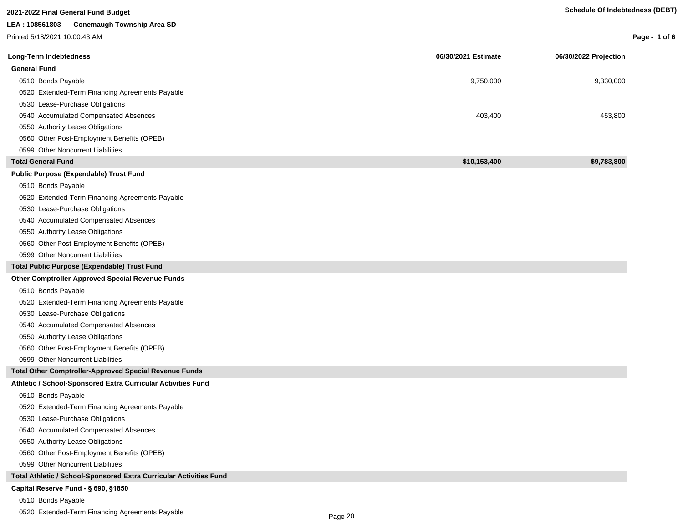| 2021-2022 Final General Fund Budget                                | <b>Schedule Of Indebtedness (DEBT)</b> |                       |                 |
|--------------------------------------------------------------------|----------------------------------------|-----------------------|-----------------|
| LEA: 108561803 Conemaugh Township Area SD                          |                                        |                       |                 |
| Printed 5/18/2021 10:00:43 AM                                      |                                        |                       | Page - 1 of $6$ |
| Long-Term Indebtedness                                             | 06/30/2021 Estimate                    | 06/30/2022 Projection |                 |
| <b>General Fund</b>                                                |                                        |                       |                 |
| 0510 Bonds Payable                                                 | 9,750,000                              | 9,330,000             |                 |
| 0520 Extended-Term Financing Agreements Payable                    |                                        |                       |                 |
| 0530 Lease-Purchase Obligations                                    |                                        |                       |                 |
| 0540 Accumulated Compensated Absences                              | 403,400                                | 453,800               |                 |
| 0550 Authority Lease Obligations                                   |                                        |                       |                 |
| 0560 Other Post-Employment Benefits (OPEB)                         |                                        |                       |                 |
| 0599 Other Noncurrent Liabilities                                  |                                        |                       |                 |
| <b>Total General Fund</b>                                          | \$10,153,400                           | \$9,783,800           |                 |
| <b>Public Purpose (Expendable) Trust Fund</b>                      |                                        |                       |                 |
|                                                                    |                                        |                       |                 |
| 0510 Bonds Payable                                                 |                                        |                       |                 |
| 0520 Extended-Term Financing Agreements Payable                    |                                        |                       |                 |
| 0530 Lease-Purchase Obligations                                    |                                        |                       |                 |
| 0540 Accumulated Compensated Absences                              |                                        |                       |                 |
| 0550 Authority Lease Obligations                                   |                                        |                       |                 |
| 0560 Other Post-Employment Benefits (OPEB)                         |                                        |                       |                 |
| 0599 Other Noncurrent Liabilities                                  |                                        |                       |                 |
| Total Public Purpose (Expendable) Trust Fund                       |                                        |                       |                 |
| Other Comptroller-Approved Special Revenue Funds                   |                                        |                       |                 |
| 0510 Bonds Payable                                                 |                                        |                       |                 |
| 0520 Extended-Term Financing Agreements Payable                    |                                        |                       |                 |
| 0530 Lease-Purchase Obligations                                    |                                        |                       |                 |
| 0540 Accumulated Compensated Absences                              |                                        |                       |                 |
| 0550 Authority Lease Obligations                                   |                                        |                       |                 |
| 0560 Other Post-Employment Benefits (OPEB)                         |                                        |                       |                 |
| 0599 Other Noncurrent Liabilities                                  |                                        |                       |                 |
| Total Other Comptroller-Approved Special Revenue Funds             |                                        |                       |                 |
| Athletic / School-Sponsored Extra Curricular Activities Fund       |                                        |                       |                 |
| 0510 Bonds Payable                                                 |                                        |                       |                 |
| 0520 Extended-Term Financing Agreements Payable                    |                                        |                       |                 |
| 0530 Lease-Purchase Obligations                                    |                                        |                       |                 |
| 0540 Accumulated Compensated Absences                              |                                        |                       |                 |
| 0550 Authority Lease Obligations                                   |                                        |                       |                 |
| 0560 Other Post-Employment Benefits (OPEB)                         |                                        |                       |                 |
| 0599 Other Noncurrent Liabilities                                  |                                        |                       |                 |
| Total Athletic / School-Sponsored Extra Curricular Activities Fund |                                        |                       |                 |
| Capital Reserve Fund - § 690, §1850                                |                                        |                       |                 |
| 0510 Bonds Payable                                                 |                                        |                       |                 |

0520 Extended-Term Financing Agreements Payable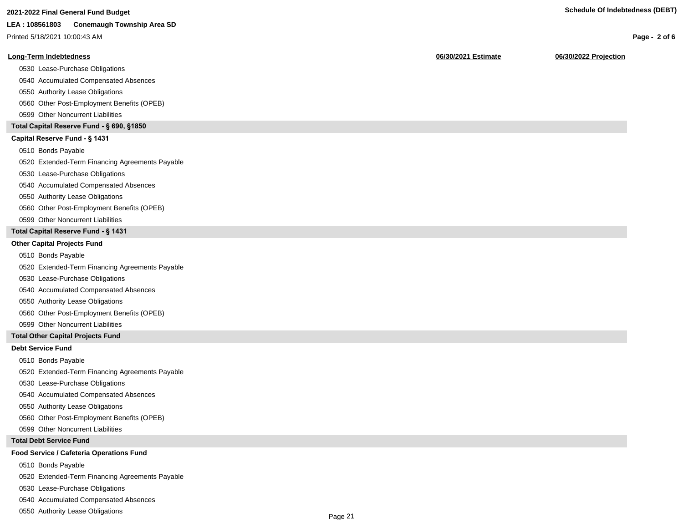# **2021-2022 Final General Fund Budget Schedule Of Indebtedness (DEBT)**

### **LEA : 108561803 Conemaugh Township Area SD**

Printed 5/18/2021 10:00:43 AM

#### **Long-Term Indebtedness 06/30/2021 Estimate 06/30/2022 Projection**

0530 Lease-Purchase Obligations

0540 Accumulated Compensated Absences

0550 Authority Lease Obligations

0560 Other Post-Employment Benefits (OPEB)

0599 Other Noncurrent Liabilities

### **Total Capital Reserve Fund - § 690, §1850**

### Capital Reserve Fund - § 1431

0510 Bonds Payable

0520 Extended-Term Financing Agreements Payable

0530 Lease-Purchase Obligations

0540 Accumulated Compensated Absences

#### 0550 Authority Lease Obligations

0560 Other Post-Employment Benefits (OPEB)

0599 Other Noncurrent Liabilities

## **Total Capital Reserve Fund - § 1431**

#### **Other Capital Projects Fund**

0510 Bonds Payable

0520 Extended-Term Financing Agreements Payable

0530 Lease-Purchase Obligations

0540 Accumulated Compensated Absences

0550 Authority Lease Obligations

0560 Other Post-Employment Benefits (OPEB)

0599 Other Noncurrent Liabilities

### **Total Other Capital Projects Fund**

#### **Debt Service Fund**

0510 Bonds Payable

0520 Extended-Term Financing Agreements Payable

0530 Lease-Purchase Obligations

0540 Accumulated Compensated Absences

0550 Authority Lease Obligations

0560 Other Post-Employment Benefits (OPEB)

0599 Other Noncurrent Liabilities

#### **Total Debt Service Fund**

#### **Food Service / Cafeteria Operations Fund**

0510 Bonds Payable

0520 Extended-Term Financing Agreements Payable

0530 Lease-Purchase Obligations

0540 Accumulated Compensated Absences

0550 Authority Lease Obligations

**Page - 2 of 6**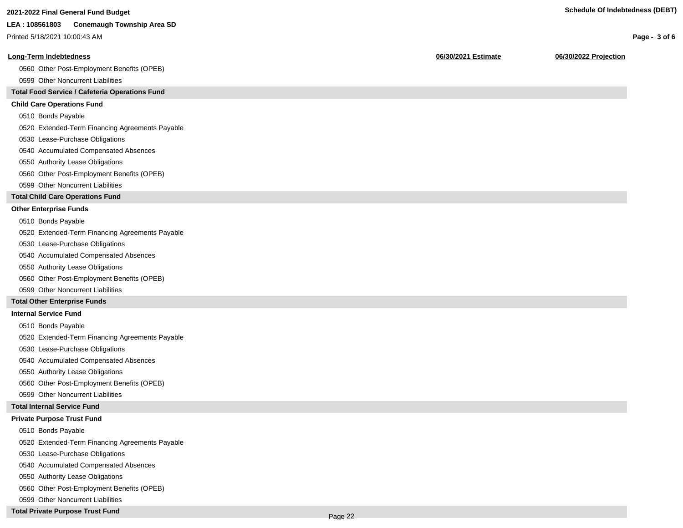# **2021-2022 Final General Fund Budget Schedule Of Indebtedness (DEBT)**

#### **LEA : 108561803 Conemaugh Township Area SD**

Printed 5/18/2021 10:00:43 AM

#### **Long-Term Indebtedness 06/30/2021 Estimate 06/30/2022 Projection**

0560 Other Post-Employment Benefits (OPEB)

0599 Other Noncurrent Liabilities

## **Total Food Service / Cafeteria Operations Fund**

### **Child Care Operations Fund**

0510 Bonds Payable

0520 Extended-Term Financing Agreements Payable

- 0530 Lease-Purchase Obligations
- 0540 Accumulated Compensated Absences
- 0550 Authority Lease Obligations
- 0560 Other Post-Employment Benefits (OPEB)
- 0599 Other Noncurrent Liabilities

### **Total Child Care Operations Fund**

#### **Other Enterprise Funds**

- 0510 Bonds Payable
- 0520 Extended-Term Financing Agreements Payable
- 0530 Lease-Purchase Obligations
- 0540 Accumulated Compensated Absences
- 0550 Authority Lease Obligations
- 0560 Other Post-Employment Benefits (OPEB)
- 0599 Other Noncurrent Liabilities

### **Total Other Enterprise Funds**

#### **Internal Service Fund**

- 0510 Bonds Payable
- 0520 Extended-Term Financing Agreements Payable
- 0530 Lease-Purchase Obligations
- 0540 Accumulated Compensated Absences
- 0550 Authority Lease Obligations
- 0560 Other Post-Employment Benefits (OPEB)
- 0599 Other Noncurrent Liabilities

### **Total Internal Service Fund**

## **Private Purpose Trust Fund**

- 0510 Bonds Payable
- 0520 Extended-Term Financing Agreements Payable
- 0530 Lease-Purchase Obligations
- 0540 Accumulated Compensated Absences
- 0550 Authority Lease Obligations
- 0560 Other Post-Employment Benefits (OPEB)
- 0599 Other Noncurrent Liabilities

## **Total Private Purpose Trust Fund**

### **Page - 3 of 6**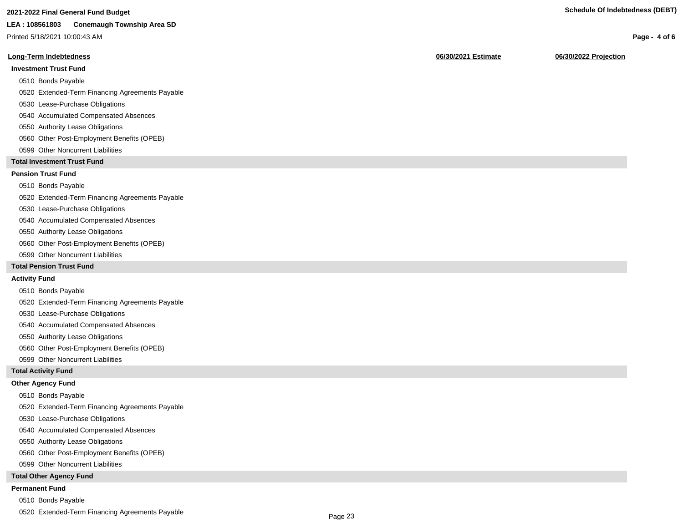# **2021-2022 Final General Fund Budget Schedule Of Indebtedness (DEBT)**

## **LEA : 108561803 Conemaugh Township Area SD**

Printed 5/18/2021 10:00:43 AM

## **Long-Term Indebtedness 06/30/2021 Estimate 06/30/2022 Projection**

# **Investment Trust Fund**

## 0510 Bonds Payable

- 0520 Extended-Term Financing Agreements Payable
- 0530 Lease-Purchase Obligations
- 0540 Accumulated Compensated Absences
- 0550 Authority Lease Obligations
- 0560 Other Post-Employment Benefits (OPEB)
- 0599 Other Noncurrent Liabilities

# **Total Investment Trust Fund**

# **Pension Trust Fund**

## 0510 Bonds Payable

0520 Extended-Term Financing Agreements Payable

- 0530 Lease-Purchase Obligations
- 0540 Accumulated Compensated Absences
- 0550 Authority Lease Obligations
- 0560 Other Post-Employment Benefits (OPEB)
- 0599 Other Noncurrent Liabilities

# **Total Pension Trust Fund**

# **Activity Fund**

- 0510 Bonds Payable
- 0520 Extended-Term Financing Agreements Payable
- 0530 Lease-Purchase Obligations
- 0540 Accumulated Compensated Absences
- 0550 Authority Lease Obligations
- 0560 Other Post-Employment Benefits (OPEB)
- 0599 Other Noncurrent Liabilities

## **Total Activity Fund**

## **Other Agency Fund**

- 0510 Bonds Payable
- 0520 Extended-Term Financing Agreements Payable
- 0530 Lease-Purchase Obligations
- 0540 Accumulated Compensated Absences
- 0550 Authority Lease Obligations
- 0560 Other Post-Employment Benefits (OPEB)
- 0599 Other Noncurrent Liabilities

# **Total Other Agency Fund**

# **Permanent Fund**

- 0510 Bonds Payable
- 0520 Extended-Term Financing Agreements Payable

# **Page - 4 of 6**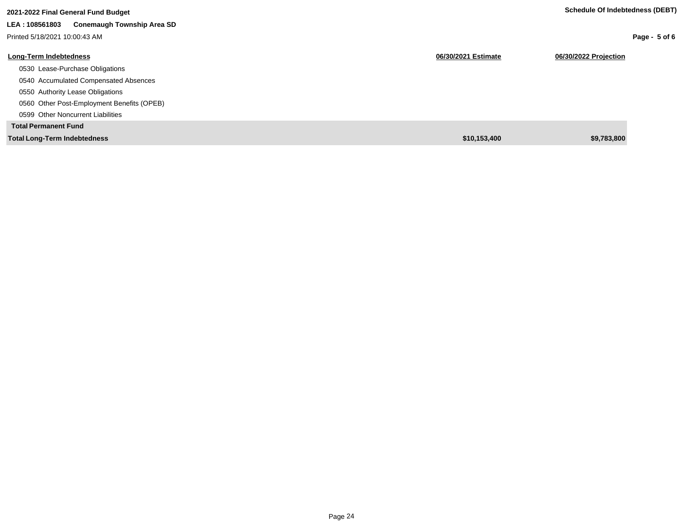| 2021-2022 Final General Fund Budget                 |                     | Schedule Of Indebtedness (DEBT) |
|-----------------------------------------------------|---------------------|---------------------------------|
| LEA: 108561803<br><b>Conemaugh Township Area SD</b> |                     |                                 |
| Printed 5/18/2021 10:00:43 AM                       |                     | Page - $5$ of 6                 |
| <b>Long-Term Indebtedness</b>                       | 06/30/2021 Estimate | 06/30/2022 Projection           |
| 0530 Lease-Purchase Obligations                     |                     |                                 |
| 0540 Accumulated Compensated Absences               |                     |                                 |
| 0550 Authority Lease Obligations                    |                     |                                 |
| 0560 Other Post-Employment Benefits (OPEB)          |                     |                                 |
| 0599 Other Noncurrent Liabilities                   |                     |                                 |
| <b>Total Permanent Fund</b>                         |                     |                                 |
| <b>Total Long-Term Indebtedness</b>                 | \$10,153,400        | \$9,783,800                     |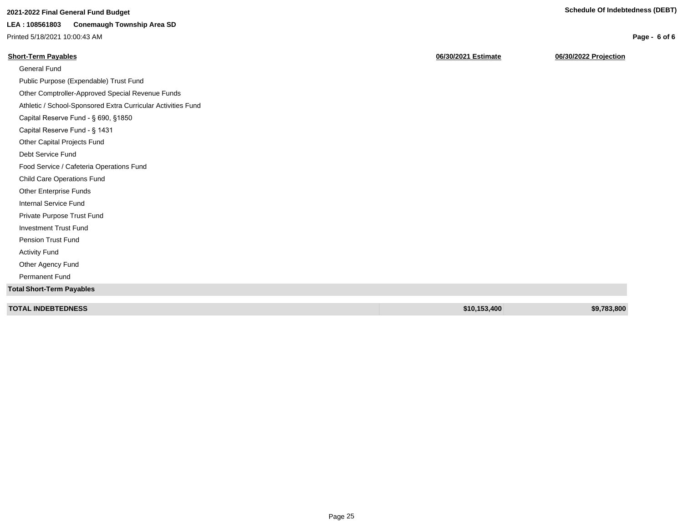**Page - 6 of 6**

# **2021-2022 Final General Fund Budget Schedule Of Indebtedness (DEBT)**

# **LEA : 108561803 Conemaugh Township Area SD**

Printed 5/18/2021 10:00:43 AM

| <b>Short-Term Pavables</b> | 06/30/2021 Estimate | 06/30/2022 Projection |
|----------------------------|---------------------|-----------------------|
|                            |                     |                       |

| General Fund                                                 |              |             |
|--------------------------------------------------------------|--------------|-------------|
| Public Purpose (Expendable) Trust Fund                       |              |             |
| Other Comptroller-Approved Special Revenue Funds             |              |             |
| Athletic / School-Sponsored Extra Curricular Activities Fund |              |             |
| Capital Reserve Fund - § 690, §1850                          |              |             |
| Capital Reserve Fund - § 1431                                |              |             |
| Other Capital Projects Fund                                  |              |             |
| Debt Service Fund                                            |              |             |
| Food Service / Cafeteria Operations Fund                     |              |             |
| Child Care Operations Fund                                   |              |             |
| Other Enterprise Funds                                       |              |             |
| Internal Service Fund                                        |              |             |
| Private Purpose Trust Fund                                   |              |             |
| <b>Investment Trust Fund</b>                                 |              |             |
| Pension Trust Fund                                           |              |             |
| <b>Activity Fund</b>                                         |              |             |
| Other Agency Fund                                            |              |             |
| Permanent Fund                                               |              |             |
| <b>Total Short-Term Payables</b>                             |              |             |
|                                                              |              |             |
| <b>TOTAL INDEBTEDNESS</b>                                    | \$10,153,400 | \$9,783,800 |